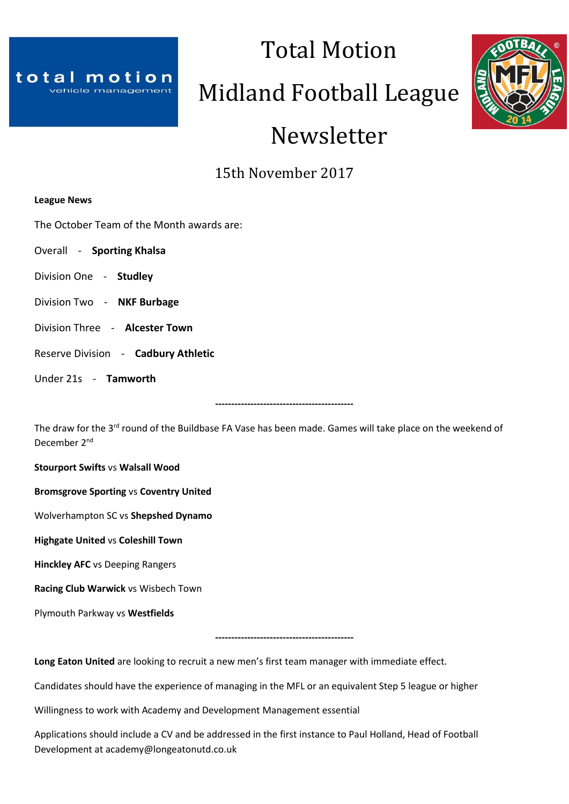

# Midland Football League

Total Motion



# Newsletter

15th November 2017

# **League News**

The October Team of the Month awards are:

- Overall **Sporting Khalsa**
- Division One **Studley**
- Division Two **NKF Burbage**
- Division Three **Alcester Town**
- Reserve Division **Cadbury Athletic**
- Under 21s **Tamworth**

The draw for the 3<sup>rd</sup> round of the Buildbase FA Vase has been made. Games will take place on the weekend of December 2nd

**-------------------------------------------**

**Stourport Swifts** vs **Walsall Wood**

**Bromsgrove Sporting** vs **Coventry United**

Wolverhampton SC vs **Shepshed Dynamo**

**Highgate United** vs **Coleshill Town**

**Hinckley AFC** vs Deeping Rangers

**Racing Club Warwick** vs Wisbech Town

Plymouth Parkway vs **Westfields**

**-------------------------------------------**

**Long Eaton United** are looking to recruit a new men's first team manager with immediate effect.

Candidates should have the experience of managing in the MFL or an equivalent Step 5 league or higher

Willingness to work with Academy and Development Management essential

Applications should include a CV and be addressed in the first instance to Paul Holland, Head of Football Development at academy@longeatonutd.co.uk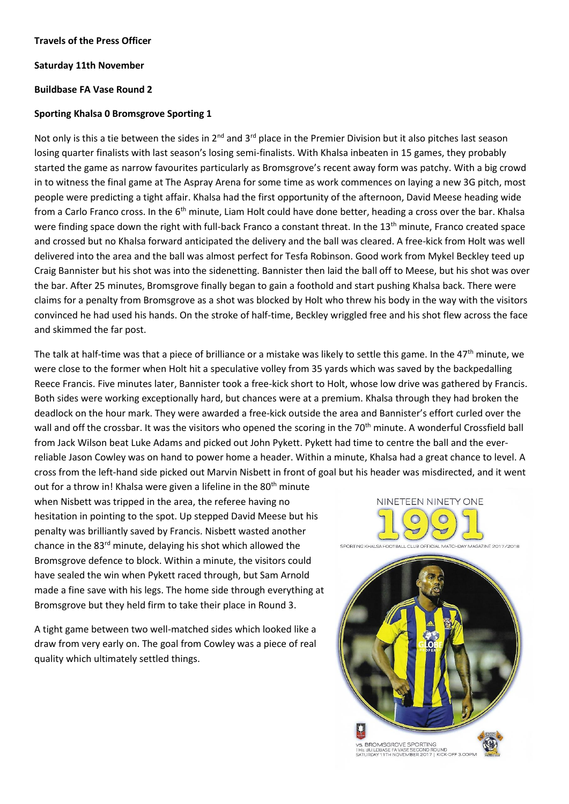#### **Travels of the Press Officer**

#### **Saturday 11th November**

### **Buildbase FA Vase Round 2**

### **Sporting Khalsa 0 Bromsgrove Sporting 1**

Not only is this a tie between the sides in 2<sup>nd</sup> and 3<sup>rd</sup> place in the Premier Division but it also pitches last season losing quarter finalists with last season's losing semi-finalists. With Khalsa inbeaten in 15 games, they probably started the game as narrow favourites particularly as Bromsgrove's recent away form was patchy. With a big crowd in to witness the final game at The Aspray Arena for some time as work commences on laying a new 3G pitch, most people were predicting a tight affair. Khalsa had the first opportunity of the afternoon, David Meese heading wide from a Carlo Franco cross. In the 6<sup>th</sup> minute, Liam Holt could have done better, heading a cross over the bar. Khalsa were finding space down the right with full-back Franco a constant threat. In the 13<sup>th</sup> minute, Franco created space and crossed but no Khalsa forward anticipated the delivery and the ball was cleared. A free-kick from Holt was well delivered into the area and the ball was almost perfect for Tesfa Robinson. Good work from Mykel Beckley teed up Craig Bannister but his shot was into the sidenetting. Bannister then laid the ball off to Meese, but his shot was over the bar. After 25 minutes, Bromsgrove finally began to gain a foothold and start pushing Khalsa back. There were claims for a penalty from Bromsgrove as a shot was blocked by Holt who threw his body in the way with the visitors convinced he had used his hands. On the stroke of half-time, Beckley wriggled free and his shot flew across the face and skimmed the far post.

The talk at half-time was that a piece of brilliance or a mistake was likely to settle this game. In the 47<sup>th</sup> minute, we were close to the former when Holt hit a speculative volley from 35 yards which was saved by the backpedalling Reece Francis. Five minutes later, Bannister took a free-kick short to Holt, whose low drive was gathered by Francis. Both sides were working exceptionally hard, but chances were at a premium. Khalsa through they had broken the deadlock on the hour mark. They were awarded a free-kick outside the area and Bannister's effort curled over the wall and off the crossbar. It was the visitors who opened the scoring in the 70<sup>th</sup> minute. A wonderful Crossfield ball from Jack Wilson beat Luke Adams and picked out John Pykett. Pykett had time to centre the ball and the everreliable Jason Cowley was on hand to power home a header. Within a minute, Khalsa had a great chance to level. A cross from the left-hand side picked out Marvin Nisbett in front of goal but his header was misdirected, and it went

out for a throw in! Khalsa were given a lifeline in the 80<sup>th</sup> minute when Nisbett was tripped in the area, the referee having no hesitation in pointing to the spot. Up stepped David Meese but his penalty was brilliantly saved by Francis. Nisbett wasted another chance in the 83rd minute, delaying his shot which allowed the Bromsgrove defence to block. Within a minute, the visitors could have sealed the win when Pykett raced through, but Sam Arnold made a fine save with his legs. The home side through everything at Bromsgrove but they held firm to take their place in Round 3.

A tight game between two well-matched sides which looked like a draw from very early on. The goal from Cowley was a piece of real quality which ultimately settled things.

NINETEEN NINETY ONE

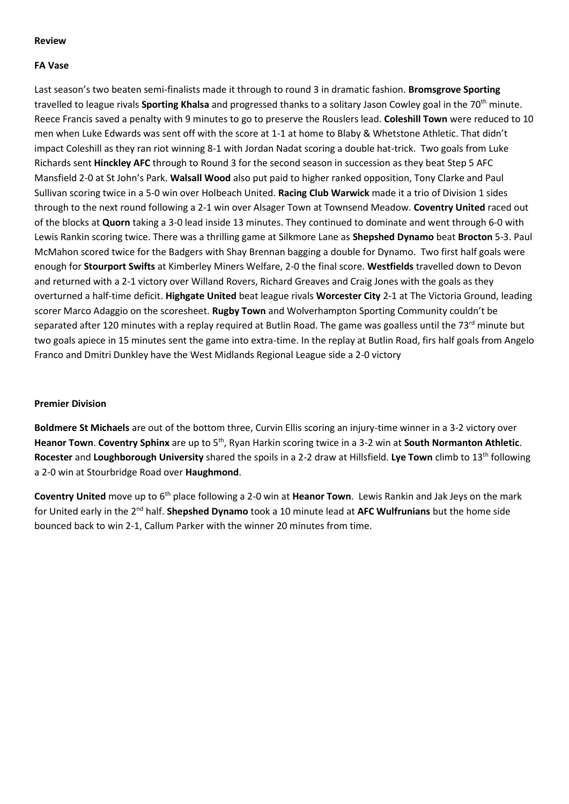# **Review**

# **FA Vase**

Last season's two beaten semi-finalists made it through to round 3 in dramatic fashion. **Bromsgrove Sporting** travelled to league rivals **Sporting Khalsa** and progressed thanks to a solitary Jason Cowley goal in the 70th minute. Reece Francis saved a penalty with 9 minutes to go to preserve the Rouslers lead. **Coleshill Town** were reduced to 10 men when Luke Edwards was sent off with the score at 1-1 at home to Blaby & Whetstone Athletic. That didn't impact Coleshill as they ran riot winning 8-1 with Jordan Nadat scoring a double hat-trick. Two goals from Luke Richards sent **Hinckley AFC** through to Round 3 for the second season in succession as they beat Step 5 AFC Mansfield 2-0 at St John's Park. **Walsall Wood** also put paid to higher ranked opposition, Tony Clarke and Paul Sullivan scoring twice in a 5-0 win over Holbeach United. **Racing Club Warwick** made it a trio of Division 1 sides through to the next round following a 2-1 win over Alsager Town at Townsend Meadow. **Coventry United** raced out of the blocks at **Quorn** taking a 3-0 lead inside 13 minutes. They continued to dominate and went through 6-0 with Lewis Rankin scoring twice. There was a thrilling game at Silkmore Lane as **Shepshed Dynamo** beat **Brocton** 5-3. Paul McMahon scored twice for the Badgers with Shay Brennan bagging a double for Dynamo. Two first half goals were enough for **Stourport Swifts** at Kimberley Miners Welfare, 2-0 the final score. **Westfields** travelled down to Devon and returned with a 2-1 victory over Willand Rovers, Richard Greaves and Craig Jones with the goals as they overturned a half-time deficit. **Highgate United** beat league rivals **Worcester City** 2-1 at The Victoria Ground, leading scorer Marco Adaggio on the scoresheet. **Rugby Town** and Wolverhampton Sporting Community couldn't be separated after 120 minutes with a replay required at Butlin Road. The game was goalless until the 73<sup>rd</sup> minute but two goals apiece in 15 minutes sent the game into extra-time. In the replay at Butlin Road, firs half goals from Angelo Franco and Dmitri Dunkley have the West Midlands Regional League side a 2-0 victory

# **Premier Division**

**Boldmere St Michaels** are out of the bottom three, Curvin Ellis scoring an injury-time winner in a 3-2 victory over **Heanor Town**. **Coventry Sphinx** are up to 5th, Ryan Harkin scoring twice in a 3-2 win at **South Normanton Athletic**. **Rocester** and **Loughborough University** shared the spoils in a 2-2 draw at Hillsfield. **Lye Town** climb to 13th following a 2-0 win at Stourbridge Road over **Haughmond**.

**Coventry United** move up to 6<sup>th</sup> place following a 2-0 win at Heanor Town. Lewis Rankin and Jak Jeys on the mark for United early in the 2nd half. **Shepshed Dynamo** took a 10 minute lead at **AFC Wulfrunians** but the home side bounced back to win 2-1, Callum Parker with the winner 20 minutes from time.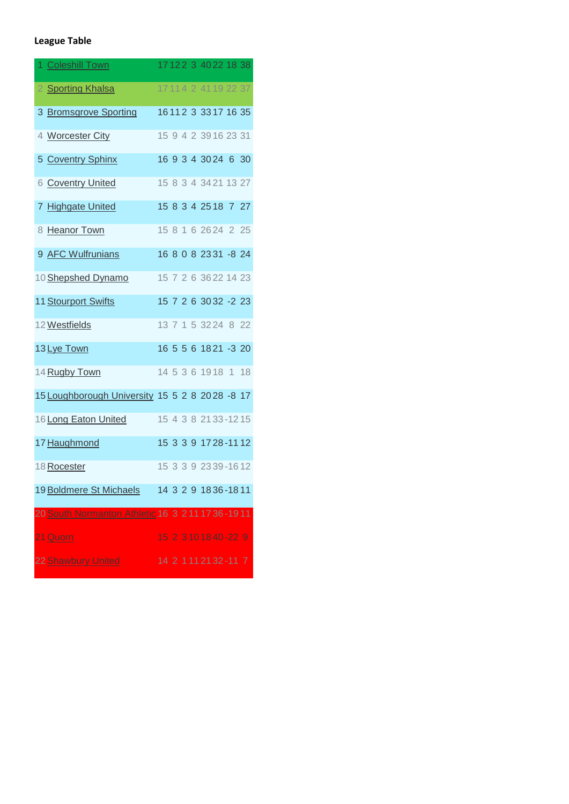# **League Table**

| 1 Coleshill Town                                    |                            |  |  | 17122 3 4022 18 38     |  |
|-----------------------------------------------------|----------------------------|--|--|------------------------|--|
| 2 Sporting Khalsa                                   |                            |  |  | 17 11 4 2 41 19 22 37  |  |
| 3 Bromsgrove Sporting                               |                            |  |  | 16112 3 3317 16 35     |  |
| 4 Worcester City                                    |                            |  |  | 15 9 4 2 39 16 23 31   |  |
| 5 Coventry Sphinx                                   |                            |  |  | 16 9 3 4 30 24 6 30    |  |
| 6 Coventry United                                   |                            |  |  | 15 8 3 4 34 21 13 27   |  |
| 7 Highgate United                                   |                            |  |  | 15 8 3 4 25 18 7 27    |  |
| 8 Heanor Town                                       |                            |  |  | 15 8 1 6 26 24 2 25    |  |
| 9 AFC Wulfrunians                                   |                            |  |  | 16 8 0 8 23 31 - 8 24  |  |
| 10 Shepshed Dynamo                                  |                            |  |  | 15 7 2 6 36 22 14 23   |  |
| 11 Stourport Swifts                                 |                            |  |  | 15 7 2 6 30 32 -2 23   |  |
| 12 Westfields                                       |                            |  |  | 13 7 1 5 32 24 8 22    |  |
| 13 Lye Town                                         |                            |  |  | 16 5 5 6 18 21 - 3 20  |  |
| 14 Rugby Town                                       |                            |  |  | 14 5 3 6 1918 1 18     |  |
| 15 Loughborough University 15 5 2 8 2028 -8 17      |                            |  |  |                        |  |
| 16 Long Eaton United                                |                            |  |  | 15 4 3 8 21 33 - 12 15 |  |
| 17 Haughmond                                        |                            |  |  | 15 3 3 9 17 28 - 11 12 |  |
| 18 Rocester                                         |                            |  |  | 15 3 3 9 23 39 - 16 12 |  |
| 19 Boldmere St Michaels                             | 14 3 2 9 18 36 - 18 11     |  |  |                        |  |
| 20 South Normanton Athletic 16 3 2 11 17 36 - 19 11 |                            |  |  |                        |  |
| 21 Quorn                                            |                            |  |  | 15 2 3 10 18 40 - 22 9 |  |
| 22 Shawbury United                                  | 14 2 1 1 1 2 1 3 2 - 1 1 7 |  |  |                        |  |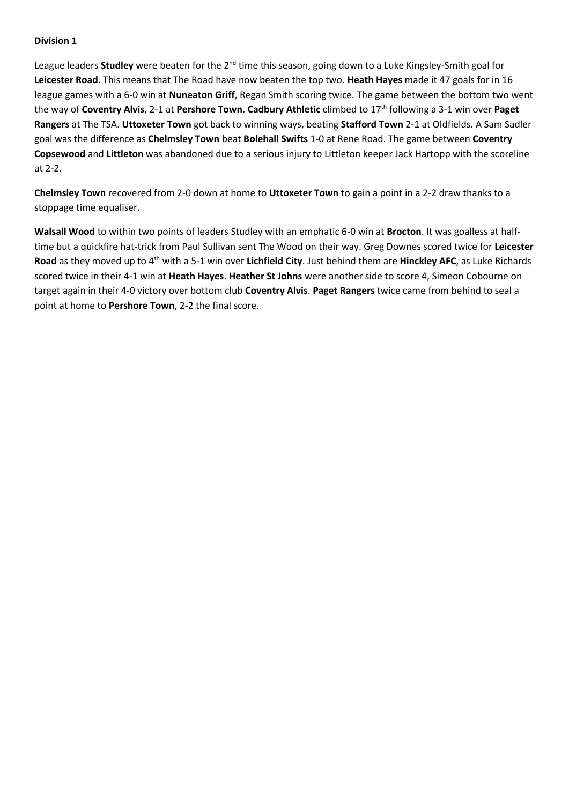League leaders **Studley** were beaten for the 2<sup>nd</sup> time this season, going down to a Luke Kingsley-Smith goal for **Leicester Road**. This means that The Road have now beaten the top two. **Heath Hayes** made it 47 goals for in 16 league games with a 6-0 win at **Nuneaton Griff**, Regan Smith scoring twice. The game between the bottom two went the way of **Coventry Alvis**, 2-1 at **Pershore Town**. **Cadbury Athletic** climbed to 17th following a 3-1 win over **Paget Rangers** at The TSA. **Uttoxeter Town** got back to winning ways, beating **Stafford Town** 2-1 at Oldfields. A Sam Sadler goal was the difference as **Chelmsley Town** beat **Bolehall Swifts** 1-0 at Rene Road. The game between **Coventry Copsewood** and **Littleton** was abandoned due to a serious injury to Littleton keeper Jack Hartopp with the scoreline at 2-2.

**Chelmsley Town** recovered from 2-0 down at home to **Uttoxeter Town** to gain a point in a 2-2 draw thanks to a stoppage time equaliser.

**Walsall Wood** to within two points of leaders Studley with an emphatic 6-0 win at **Brocton**. It was goalless at halftime but a quickfire hat-trick from Paul Sullivan sent The Wood on their way. Greg Downes scored twice for **Leicester Road** as they moved up to 4th with a 5-1 win over **Lichfield City**. Just behind them are **Hinckley AFC**, as Luke Richards scored twice in their 4-1 win at **Heath Hayes**. **Heather St Johns** were another side to score 4, Simeon Cobourne on target again in their 4-0 victory over bottom club **Coventry Alvis**. **Paget Rangers** twice came from behind to seal a point at home to **Pershore Town**, 2-2 the final score.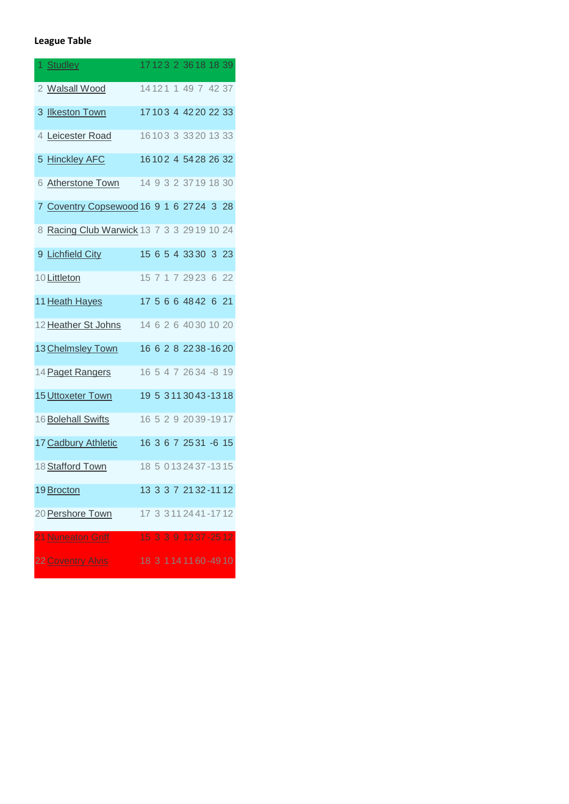# **League Table**

| 1 Studley                                  |  |  |  | 17123 2 3618 18 39           |  |
|--------------------------------------------|--|--|--|------------------------------|--|
| 2 Walsall Wood                             |  |  |  | 14 12 1 1 49 7 42 37         |  |
| 3 Ilkeston Town                            |  |  |  | 17 10 3 4 42 20 22 33        |  |
| 4 Leicester Road                           |  |  |  | 16 10 3 3 3 3 2 0 1 3 3 3    |  |
| 5 Hinckley AFC                             |  |  |  | 16102 4 5428 26 32           |  |
| 6 Atherstone Town                          |  |  |  | 14 9 3 2 37 19 18 30         |  |
| 7 Coventry Copsewood 16 9 1 6 27 24 3 28   |  |  |  |                              |  |
| 8 Racing Club Warwick 13 7 3 3 29 19 10 24 |  |  |  |                              |  |
| 9 Lichfield City                           |  |  |  | 15 6 5 4 33 30 3 23          |  |
| 10 Littleton                               |  |  |  | 15 7 1 7 29 23 6 22          |  |
| 11 Heath Hayes                             |  |  |  | 17 5 6 6 48 42 6 21          |  |
| 12 Heather St Johns                        |  |  |  | 14 6 2 6 40 30 10 20         |  |
| 13 Chelmsley Town                          |  |  |  | 16 6 2 8 22 38 - 16 20       |  |
| 14 Paget Rangers                           |  |  |  | 16 5 4 7 26 34 -8 19         |  |
| 15 Uttoxeter Town                          |  |  |  | 19 5 3 1 1 3 0 4 3 - 1 3 1 8 |  |
| 16 Bolehall Swifts                         |  |  |  | 16 5 2 9 2039-1917           |  |
| 17 Cadbury Athletic                        |  |  |  | 16 3 6 7 25 31 -6 15         |  |
| 18 Stafford Town                           |  |  |  | 18 5 0 13 24 37 - 13 15      |  |
| 19 Brocton                                 |  |  |  | 13 3 3 7 21 32 - 11 12       |  |
| 20 Pershore Town                           |  |  |  | 17 3 3 11 24 41 - 17 12      |  |
| 21 Nuneaton Griff                          |  |  |  | 15 3 3 9 12 37 - 25 12       |  |
| <b>22 Coventry Alvis</b>                   |  |  |  | 18 3 114 11 60 - 49 10       |  |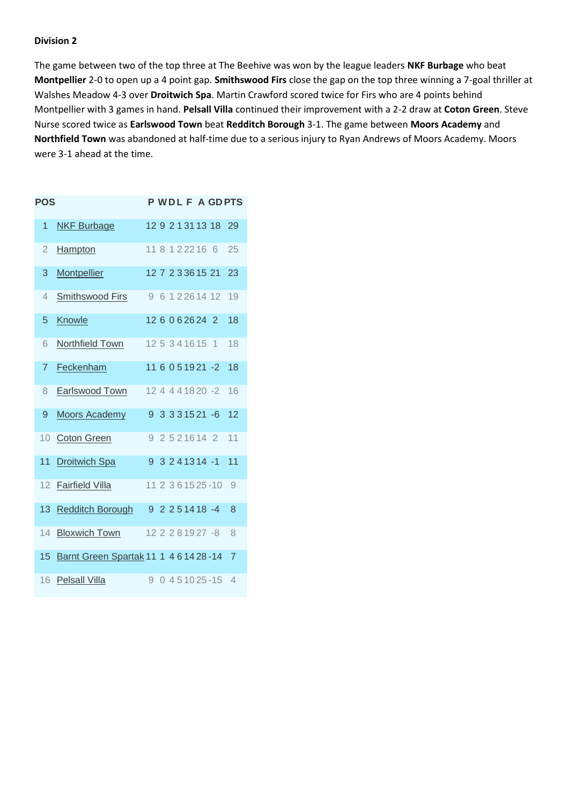The game between two of the top three at The Beehive was won by the league leaders **NKF Burbage** who beat **Montpellier** 2-0 to open up a 4 point gap. **Smithswood Firs** close the gap on the top three winning a 7-goal thriller at Walshes Meadow 4-3 over **Droitwich Spa**. Martin Crawford scored twice for Firs who are 4 points behind Montpellier with 3 games in hand. **Pelsall Villa** continued their improvement with a 2-2 draw at **Coton Green**. Steve Nurse scored twice as **Earlswood Town** beat **Redditch Borough** 3-1. The game between **Moors Academy** and **Northfield Town** was abandoned at half-time due to a serious injury to Ryan Andrews of Moors Academy. Moors were 3-1 ahead at the time.

| <b>POS</b>      |                                           |                    |  |  |                   |                      | <b>PWDLFAGDPTS</b> |
|-----------------|-------------------------------------------|--------------------|--|--|-------------------|----------------------|--------------------|
| 1               | <b>NKF Burbage</b>                        |                    |  |  |                   | 12 9 2 1 31 13 18    | 29                 |
| $\overline{2}$  | <b>Hampton</b>                            | 11 8 1 2 2 2 1 6 6 |  |  |                   |                      | 25                 |
| 3               | <b>Montpellier</b>                        |                    |  |  |                   | 12 7 2 3 3 6 1 5 21  | 23                 |
| 4               | <b>Smithswood Firs</b>                    |                    |  |  |                   | 9 6 1 2 2 6 1 4 1 2  | 19                 |
| 5               | Knowle                                    | 12 6 0 6 26 24 2   |  |  |                   |                      | 18                 |
| 6               | Northfield Town                           | 12 5 3 4 1 6 1 5 1 |  |  |                   |                      | 18                 |
| $\overline{7}$  | Feckenham                                 |                    |  |  |                   | 11 6 0 5 1 9 21 - 2  | 18                 |
| 8               | Earlswood Town                            |                    |  |  |                   | 12 4 4 4 1 8 2 0 - 2 | 16                 |
| 9               | <b>Moors Academy</b>                      | 9.                 |  |  |                   | $3.331521 - 6$       | 12                 |
| $10-10$         | <b>Coton Green</b>                        |                    |  |  | 9 2 5 2 1 6 1 4 2 |                      | 11                 |
| 11              | <b>Droitwich Spa</b>                      |                    |  |  |                   | $9$ 3 2 4 13 14 -1   | 11                 |
| 12 <sup>2</sup> | Fairfield Villa                           |                    |  |  |                   | 11 2 3 6 15 25 - 10  | - 9                |
|                 | 13 Redditch Borough                       |                    |  |  |                   | $92251418 - 4$       | 8                  |
| 14              | <b>Bloxwich Town</b>                      |                    |  |  |                   | 12 2 2 8 19 27 -8    | 8                  |
| 15              | Barnt Green Spartak 11 1 4 6 14 28 - 14 7 |                    |  |  |                   |                      |                    |
| 16              | Pelsall Villa                             | g                  |  |  |                   | $0451025 - 154$      |                    |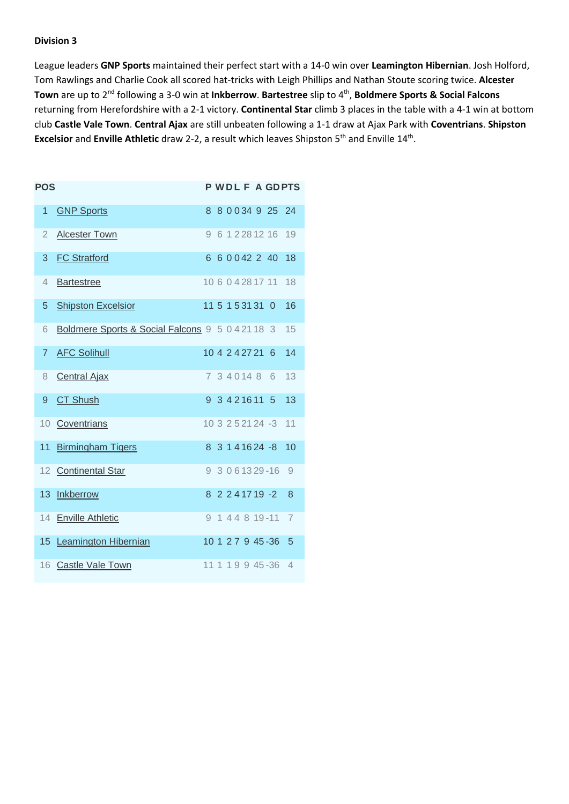League leaders **GNP Sports** maintained their perfect start with a 14-0 win over **Leamington Hibernian**. Josh Holford, Tom Rawlings and Charlie Cook all scored hat-tricks with Leigh Phillips and Nathan Stoute scoring twice. **Alcester Town** are up to 2nd following a 3-0 win at **Inkberrow**. **Bartestree** slip to 4th , **Boldmere Sports & Social Falcons** returning from Herefordshire with a 2-1 victory. **Continental Star** climb 3 places in the table with a 4-1 win at bottom club **Castle Vale Town**. **Central Ajax** are still unbeaten following a 1-1 draw at Ajax Park with **Coventrians**. **Shipston Excelsior** and **Enville Athletic** draw 2-2, a result which leaves Shipston 5<sup>th</sup> and Enville 14<sup>th</sup>.

| <b>POS</b>      |                                                  |  |  |                    |                      | <b>PWDLFAGDPTS</b> |
|-----------------|--------------------------------------------------|--|--|--------------------|----------------------|--------------------|
| 1               | <b>GNP Sports</b>                                |  |  |                    | 8 8 0 0 34 9 25 24   |                    |
| $\overline{2}$  | <b>Alcester Town</b>                             |  |  |                    | 9 6 1 2 2 8 1 2 1 6  | 19                 |
| 3               | <b>FC Stratford</b>                              |  |  |                    | 6 6 0 0 4 2 2 4 0    | 18                 |
| 4               | <b>Bartestree</b>                                |  |  |                    | 10 6 0 4 28 17 11    | 18                 |
| 5               | <b>Shipston Excelsior</b>                        |  |  | 11 5 1 5 31 31 0   |                      | 16                 |
| 6               | Boldmere Sports & Social Falcons 9 5 0 4 21 18 3 |  |  |                    |                      | 15                 |
| $\overline{7}$  | <b>AFC Solihull</b>                              |  |  | 10 4 2 4 2 7 2 1 6 |                      | 14                 |
| 8               | <b>Central Ajax</b>                              |  |  | 7 3 4 0 14 8 6     |                      | 13                 |
| 9               | <b>CT Shush</b>                                  |  |  | 9 3 4 2 1 6 11 5   |                      | 13                 |
| 10 <sup>°</sup> | Coventrians                                      |  |  |                    | $10.3$ 2 5 21 24 - 3 | 11                 |
| 11 <sup>1</sup> | <b>Birmingham Tigers</b>                         |  |  |                    | 8 3 1 4 1 6 24 - 8   | 10                 |
|                 | 12 Continental Star                              |  |  |                    | 9 3 0 6 1 3 2 9 - 16 | 9                  |
| 13 <sup>°</sup> | <b>Inkberrow</b>                                 |  |  |                    | 8 2 2 4 1 7 1 9 - 2  | 8                  |
|                 | 14 Enville Athletic                              |  |  |                    | 9 1 4 4 8 19 - 11    | $\overline{7}$     |
|                 | 15 Leamington Hibernian                          |  |  |                    | 10 1 2 7 9 45 - 36   | $\overline{5}$     |
|                 | 16 Castle Vale Town                              |  |  |                    | 11 1 1 9 9 45 - 36   | 4                  |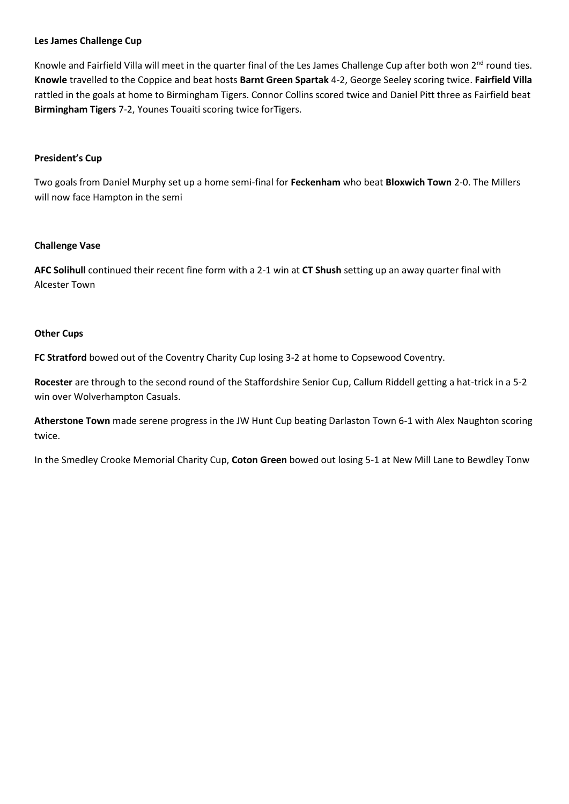# **Les James Challenge Cup**

Knowle and Fairfield Villa will meet in the quarter final of the Les James Challenge Cup after both won  $2^{nd}$  round ties. **Knowle** travelled to the Coppice and beat hosts **Barnt Green Spartak** 4-2, George Seeley scoring twice. **Fairfield Villa** rattled in the goals at home to Birmingham Tigers. Connor Collins scored twice and Daniel Pitt three as Fairfield beat **Birmingham Tigers** 7-2, Younes Touaiti scoring twice forTigers.

# **President's Cup**

Two goals from Daniel Murphy set up a home semi-final for **Feckenham** who beat **Bloxwich Town** 2-0. The Millers will now face Hampton in the semi

# **Challenge Vase**

**AFC Solihull** continued their recent fine form with a 2-1 win at **CT Shush** setting up an away quarter final with Alcester Town

# **Other Cups**

**FC Stratford** bowed out of the Coventry Charity Cup losing 3-2 at home to Copsewood Coventry.

**Rocester** are through to the second round of the Staffordshire Senior Cup, Callum Riddell getting a hat-trick in a 5-2 win over Wolverhampton Casuals.

**Atherstone Town** made serene progress in the JW Hunt Cup beating Darlaston Town 6-1 with Alex Naughton scoring twice.

In the Smedley Crooke Memorial Charity Cup, **Coton Green** bowed out losing 5-1 at New Mill Lane to Bewdley Tonw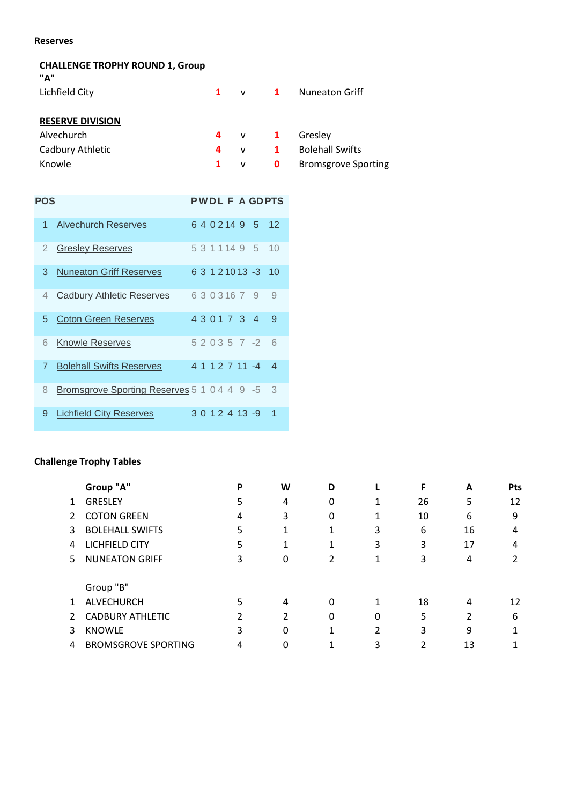# **Reserves**

# **CHALLENGE TROPHY ROUND 1, Group**

| $\mathbf{1}$ |   |              | <b>Nuneaton Griff</b>      |
|--------------|---|--------------|----------------------------|
|              |   |              |                            |
| 4            |   |              | Gresley                    |
| 4            | v | $\mathbf{1}$ | <b>Bolehall Swifts</b>     |
|              | v | 0            | <b>Bromsgrove Sporting</b> |
|              |   |              | $v = 1$<br>$\mathsf{v}$ 1  |

| POS            |                                               |  |  |                 |                     | <b>PWDLF A GDPTS</b>     |
|----------------|-----------------------------------------------|--|--|-----------------|---------------------|--------------------------|
| 1              | <b>Alvechurch Reserves</b>                    |  |  |                 | 6 4 0 2 14 9 5      | 12                       |
| 2              | <b>Gresley Reserves</b>                       |  |  |                 | 5 3 1 1 1 4 9 5     | 10                       |
| 3              | <b>Nuneaton Griff Reserves</b>                |  |  |                 | 6 3 1 2 1 0 1 3 - 3 | 10                       |
| 4              | <b>Cadbury Athletic Reserves</b>              |  |  | 6 3 0 3 1 6 7 9 |                     | 9                        |
| 5.             | <b>Coton Green Reserves</b>                   |  |  |                 | 4301734             | 9                        |
| 6              | <b>Knowle Reserves</b>                        |  |  |                 | $520357 -2$         | 6                        |
| $\overline{7}$ | <b>Bolehall Swifts Reserves</b>               |  |  |                 | 4 1 1 2 7 11 -4     | $\boldsymbol{\varDelta}$ |
| 8              | Bromsgrove Sporting Reserves 5 1 0 4 4 9 -5 3 |  |  |                 |                     |                          |
| 9              | <b>Lichfield City Reserves</b>                |  |  |                 | $3012413 - 9$       | 1                        |

# **Challenge Trophy Tables**

|    | Group "A"                  | P              | W | D |   | F  | A  | <b>Pts</b> |
|----|----------------------------|----------------|---|---|---|----|----|------------|
|    | <b>GRESLEY</b>             | 5              | 4 | 0 |   | 26 | 5  | 12         |
|    | <b>COTON GREEN</b>         | 4              | 3 | 0 |   | 10 | 6  | 9          |
| 3  | <b>BOLEHALL SWIFTS</b>     | 5              |   |   | 3 | 6  | 16 | 4          |
| 4  | LICHFIELD CITY             | 5              |   |   | 3 | 3  | 17 | 4          |
| 5. | <b>NUNEATON GRIFF</b>      | 3              | 0 |   |   | 3  | 4  |            |
|    | Group "B"                  |                |   |   |   |    |    |            |
| 1  | <b>ALVECHURCH</b>          |                | 4 | 0 |   | 18 | 4  | 12         |
|    | <b>CADBURY ATHLETIC</b>    | $\overline{2}$ | 2 | 0 | 0 | 5  | 2  | 6          |
| 3  | <b>KNOWLE</b>              | 3              | 0 |   |   | 3  | 9  |            |
| 4  | <b>BROMSGROVE SPORTING</b> |                |   |   |   |    | 13 |            |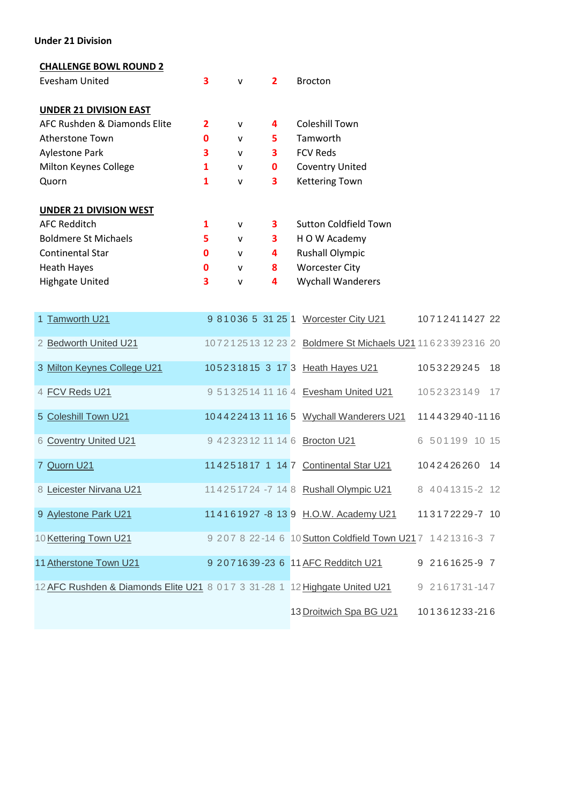# **Under 21 Division**

# **CHALLENGE BOWL ROUND 2**

| Evesham United                | 3              | $\mathsf{v}$ | $\overline{2}$ | <b>Brocton</b>           |
|-------------------------------|----------------|--------------|----------------|--------------------------|
| <b>UNDER 21 DIVISION EAST</b> |                |              |                |                          |
| AFC Rushden & Diamonds Elite  | $\overline{2}$ | $\mathsf{v}$ | 4              | Coleshill Town           |
| Atherstone Town               | 0              | v            | 5              | Tamworth                 |
| <b>Aylestone Park</b>         | 3              | $\mathsf{v}$ | 3              | <b>FCV Reds</b>          |
| Milton Keynes College         | 1              | v            | 0              | <b>Coventry United</b>   |
| Quorn                         | 1              | v            | 3              | <b>Kettering Town</b>    |
| <b>UNDER 21 DIVISION WEST</b> |                |              |                |                          |
| <b>AFC Redditch</b>           | 1              | $\mathsf{v}$ | 3              | Sutton Coldfield Town    |
| <b>Boldmere St Michaels</b>   | 5              | v            | 3              | H O W Academy            |
| <b>Continental Star</b>       | 0              | v            | 4              | <b>Rushall Olympic</b>   |
| <b>Heath Hayes</b>            | O              | v            | 8              | <b>Worcester City</b>    |
| <b>Highgate United</b>        | 3              | v            | 4              | <b>Wychall Wanderers</b> |
|                               |                |              |                |                          |

| 1 Tamworth U21                                                             |  |  | 9 81036 5 31 25 1 Worcester City U21                      | 1071241142722  |    |
|----------------------------------------------------------------------------|--|--|-----------------------------------------------------------|----------------|----|
| 2 Bedworth United U21                                                      |  |  | 10721251312232 Boldmere St Michaels U21 11623392316 20    |                |    |
| 3 Milton Keynes College U21                                                |  |  | 105231815 3 17 3 Heath Hayes U21                          | 1053229245     | 18 |
| 4 FCV Reds U21                                                             |  |  | 9 5132514 11 16 4 Evesham United U21                      | 1052323149 17  |    |
| 5 Coleshill Town U21                                                       |  |  | 104422413 11 16 5 Wychall Wanderers U21                   | 114432940-1116 |    |
| 6 Coventry United U21                                                      |  |  | 9 4232312 11 14 6 Brocton U21                             | 6 501199 10 15 |    |
| 7 Quorn U21                                                                |  |  | 114251817 1 14 7 Continental Star U21                     | 1042426260 14  |    |
| 8 Leicester Nirvana U21                                                    |  |  | 11 4 2 5 17 24 - 7 14 8 Rushall Olympic U21               | 8 4041315-2 12 |    |
| 9 Aylestone Park U21                                                       |  |  | 114161927 - 8 13 9 H.O.W. Academy U21                     | 113172229-7 10 |    |
| 10 Kettering Town U21                                                      |  |  | 9 207 8 22-14 6 10 Sutton Coldfield Town U217 1421316-3 7 |                |    |
| 11 Atherstone Town U21                                                     |  |  | 9 207 16 39 - 23 6 11 AFC Redditch U21                    | 9 2161625-9 7  |    |
| 12 AFC Rushden & Diamonds Elite U21 8 017 3 31-28 1 12 Highgate United U21 |  |  |                                                           | 9 2161731-147  |    |
|                                                                            |  |  | 13 Droitwich Spa BG U21                                   | 101361233-216  |    |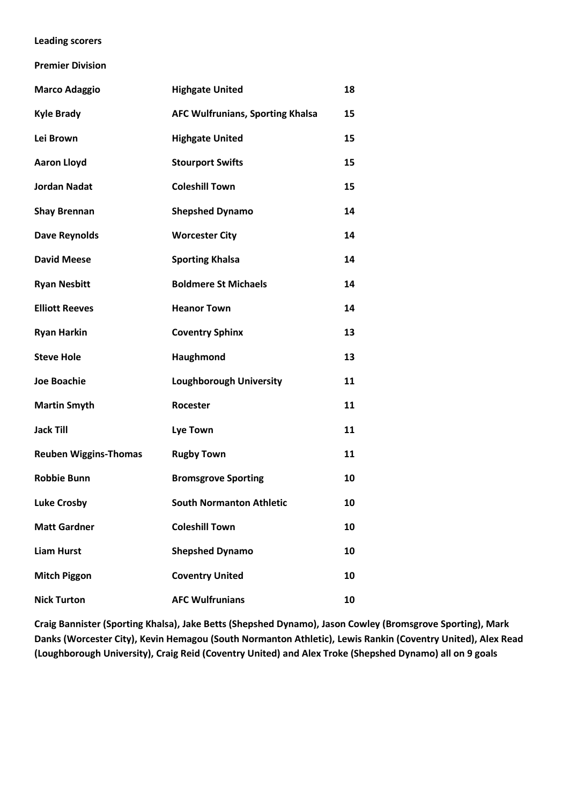# **Leading scorers**

**Premier Division**

| <b>Marco Adaggio</b>         | <b>Highgate United</b>                  | 18 |
|------------------------------|-----------------------------------------|----|
| <b>Kyle Brady</b>            | <b>AFC Wulfrunians, Sporting Khalsa</b> | 15 |
| Lei Brown                    | <b>Highgate United</b>                  | 15 |
| <b>Aaron Lloyd</b>           | <b>Stourport Swifts</b>                 | 15 |
| <b>Jordan Nadat</b>          | <b>Coleshill Town</b>                   | 15 |
| <b>Shay Brennan</b>          | <b>Shepshed Dynamo</b>                  | 14 |
| <b>Dave Reynolds</b>         | <b>Worcester City</b>                   | 14 |
| <b>David Meese</b>           | <b>Sporting Khalsa</b>                  | 14 |
| <b>Ryan Nesbitt</b>          | <b>Boldmere St Michaels</b>             | 14 |
| <b>Elliott Reeves</b>        | <b>Heanor Town</b>                      | 14 |
| <b>Ryan Harkin</b>           | <b>Coventry Sphinx</b>                  | 13 |
| <b>Steve Hole</b>            | Haughmond                               | 13 |
| <b>Joe Boachie</b>           | <b>Loughborough University</b>          | 11 |
| <b>Martin Smyth</b>          | Rocester                                | 11 |
| <b>Jack Till</b>             | <b>Lye Town</b>                         | 11 |
| <b>Reuben Wiggins-Thomas</b> | <b>Rugby Town</b>                       | 11 |
| <b>Robbie Bunn</b>           | <b>Bromsgrove Sporting</b>              | 10 |
| <b>Luke Crosby</b>           | <b>South Normanton Athletic</b>         | 10 |
| <b>Matt Gardner</b>          | <b>Coleshill Town</b>                   | 10 |
| <b>Liam Hurst</b>            | <b>Shepshed Dynamo</b>                  | 10 |
| <b>Mitch Piggon</b>          | <b>Coventry United</b>                  | 10 |
| <b>Nick Turton</b>           | <b>AFC Wulfrunians</b>                  | 10 |

**Craig Bannister (Sporting Khalsa), Jake Betts (Shepshed Dynamo), Jason Cowley (Bromsgrove Sporting), Mark Danks (Worcester City), Kevin Hemagou (South Normanton Athletic), Lewis Rankin (Coventry United), Alex Read (Loughborough University), Craig Reid (Coventry United) and Alex Troke (Shepshed Dynamo) all on 9 goals**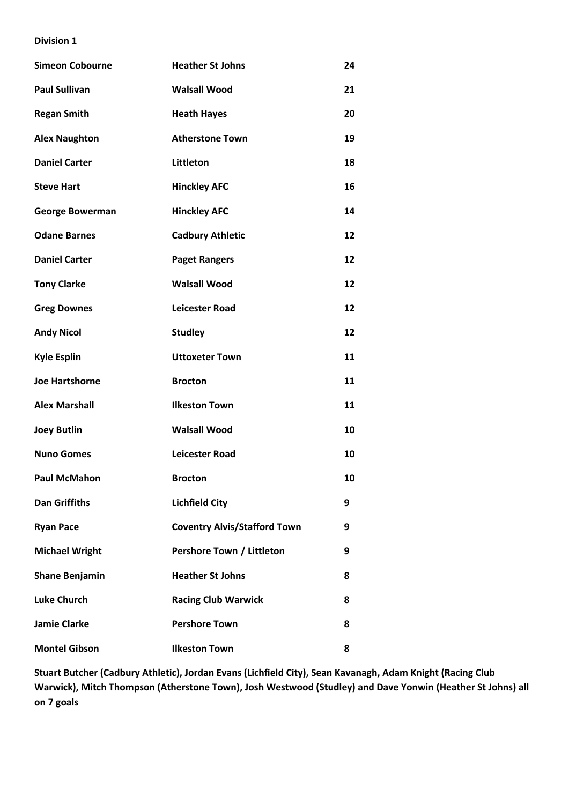| <b>Simeon Cobourne</b> | <b>Heather St Johns</b>             | 24 |
|------------------------|-------------------------------------|----|
| <b>Paul Sullivan</b>   | <b>Walsall Wood</b>                 | 21 |
| <b>Regan Smith</b>     | <b>Heath Hayes</b>                  | 20 |
| <b>Alex Naughton</b>   | <b>Atherstone Town</b>              | 19 |
| <b>Daniel Carter</b>   | Littleton                           | 18 |
| <b>Steve Hart</b>      | <b>Hinckley AFC</b>                 | 16 |
| <b>George Bowerman</b> | <b>Hinckley AFC</b>                 | 14 |
| <b>Odane Barnes</b>    | <b>Cadbury Athletic</b>             | 12 |
| <b>Daniel Carter</b>   | <b>Paget Rangers</b>                | 12 |
| <b>Tony Clarke</b>     | <b>Walsall Wood</b>                 | 12 |
| <b>Greg Downes</b>     | <b>Leicester Road</b>               | 12 |
| <b>Andy Nicol</b>      | <b>Studley</b>                      | 12 |
| <b>Kyle Esplin</b>     | <b>Uttoxeter Town</b>               | 11 |
| <b>Joe Hartshorne</b>  | <b>Brocton</b>                      | 11 |
| <b>Alex Marshall</b>   | <b>Ilkeston Town</b>                | 11 |
| <b>Joey Butlin</b>     | <b>Walsall Wood</b>                 | 10 |
| <b>Nuno Gomes</b>      | <b>Leicester Road</b>               | 10 |
| <b>Paul McMahon</b>    | <b>Brocton</b>                      | 10 |
| <b>Dan Griffiths</b>   | <b>Lichfield City</b>               | 9  |
| <b>Ryan Pace</b>       | <b>Coventry Alvis/Stafford Town</b> | 9  |
| <b>Michael Wright</b>  | Pershore Town / Littleton           | 9  |
| <b>Shane Benjamin</b>  | <b>Heather St Johns</b>             | 8  |
| <b>Luke Church</b>     | <b>Racing Club Warwick</b>          | 8  |
| <b>Jamie Clarke</b>    | <b>Pershore Town</b>                | 8  |
| <b>Montel Gibson</b>   | <b>Ilkeston Town</b>                | 8  |

**Stuart Butcher (Cadbury Athletic), Jordan Evans (Lichfield City), Sean Kavanagh, Adam Knight (Racing Club Warwick), Mitch Thompson (Atherstone Town), Josh Westwood (Studley) and Dave Yonwin (Heather St Johns) all on 7 goals**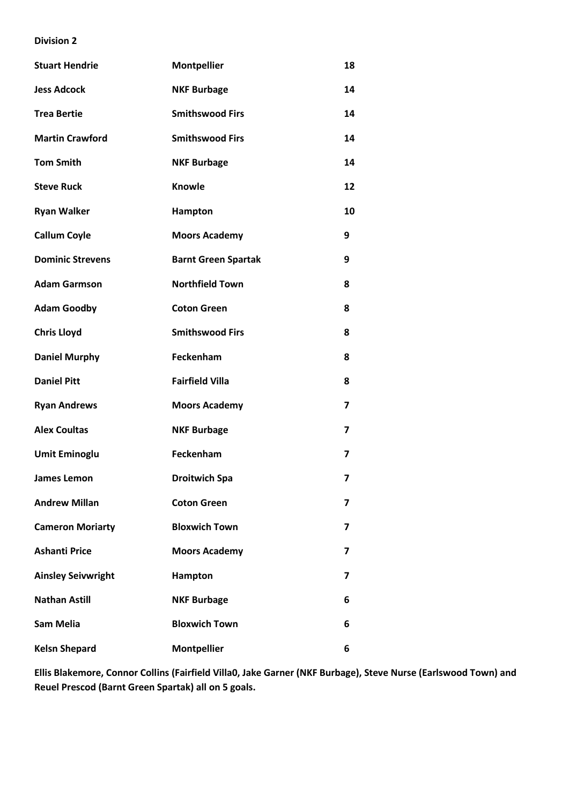| <b>Stuart Hendrie</b>     | <b>Montpellier</b>         | 18                      |
|---------------------------|----------------------------|-------------------------|
| <b>Jess Adcock</b>        | <b>NKF Burbage</b>         | 14                      |
| <b>Trea Bertie</b>        | <b>Smithswood Firs</b>     | 14                      |
| <b>Martin Crawford</b>    | <b>Smithswood Firs</b>     | 14                      |
| <b>Tom Smith</b>          | <b>NKF Burbage</b>         | 14                      |
| <b>Steve Ruck</b>         | <b>Knowle</b>              | 12                      |
| <b>Ryan Walker</b>        | Hampton                    | 10                      |
| <b>Callum Coyle</b>       | <b>Moors Academy</b>       | 9                       |
| <b>Dominic Strevens</b>   | <b>Barnt Green Spartak</b> | 9                       |
| <b>Adam Garmson</b>       | <b>Northfield Town</b>     | 8                       |
| <b>Adam Goodby</b>        | <b>Coton Green</b>         | 8                       |
| <b>Chris Lloyd</b>        | <b>Smithswood Firs</b>     | 8                       |
| <b>Daniel Murphy</b>      | Feckenham                  | 8                       |
| <b>Daniel Pitt</b>        | <b>Fairfield Villa</b>     | 8                       |
| <b>Ryan Andrews</b>       | <b>Moors Academy</b>       | $\overline{\mathbf{z}}$ |
| <b>Alex Coultas</b>       | <b>NKF Burbage</b>         | $\overline{ }$          |
| <b>Umit Eminoglu</b>      | Feckenham                  | 7                       |
| James Lemon               | <b>Droitwich Spa</b>       | 7                       |
| <b>Andrew Millan</b>      | <b>Coton Green</b>         | $\overline{\mathbf{z}}$ |
| <b>Cameron Moriarty</b>   | <b>Bloxwich Town</b>       | 7                       |
| <b>Ashanti Price</b>      | <b>Moors Academy</b>       | 7                       |
| <b>Ainsley Seivwright</b> | Hampton                    | 7                       |
| <b>Nathan Astill</b>      | <b>NKF Burbage</b>         | 6                       |
| <b>Sam Melia</b>          | <b>Bloxwich Town</b>       | 6                       |
| <b>Kelsn Shepard</b>      | <b>Montpellier</b>         | 6                       |

**Ellis Blakemore, Connor Collins (Fairfield Villa0, Jake Garner (NKF Burbage), Steve Nurse (Earlswood Town) and Reuel Prescod (Barnt Green Spartak) all on 5 goals.**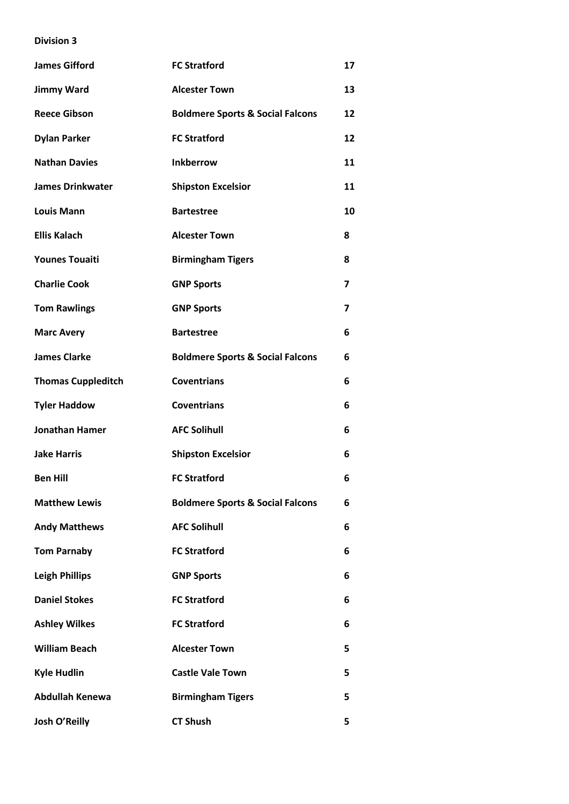| <b>James Gifford</b>      | <b>FC Stratford</b>                         | 17                      |
|---------------------------|---------------------------------------------|-------------------------|
| <b>Jimmy Ward</b>         | <b>Alcester Town</b>                        | 13                      |
| <b>Reece Gibson</b>       | <b>Boldmere Sports &amp; Social Falcons</b> | 12                      |
| <b>Dylan Parker</b>       | <b>FC Stratford</b>                         | 12                      |
| <b>Nathan Davies</b>      | <b>Inkberrow</b>                            | 11                      |
| <b>James Drinkwater</b>   | <b>Shipston Excelsior</b>                   | 11                      |
| <b>Louis Mann</b>         | <b>Bartestree</b>                           | 10                      |
| <b>Ellis Kalach</b>       | <b>Alcester Town</b>                        | 8                       |
| <b>Younes Touaiti</b>     | <b>Birmingham Tigers</b>                    | 8                       |
| <b>Charlie Cook</b>       | <b>GNP Sports</b>                           | 7                       |
| <b>Tom Rawlings</b>       | <b>GNP Sports</b>                           | $\overline{\mathbf{z}}$ |
| <b>Marc Avery</b>         | <b>Bartestree</b>                           | 6                       |
| <b>James Clarke</b>       | <b>Boldmere Sports &amp; Social Falcons</b> | 6                       |
| <b>Thomas Cuppleditch</b> | <b>Coventrians</b>                          | 6                       |
| <b>Tyler Haddow</b>       | <b>Coventrians</b>                          | 6                       |
| <b>Jonathan Hamer</b>     | <b>AFC Solihull</b>                         | 6                       |
| <b>Jake Harris</b>        | <b>Shipston Excelsior</b>                   | 6                       |
| <b>Ben Hill</b>           | <b>FC Stratford</b>                         | 6                       |
| <b>Matthew Lewis</b>      | <b>Boldmere Sports &amp; Social Falcons</b> | 6                       |
| <b>Andy Matthews</b>      | <b>AFC Solihull</b>                         | 6                       |
| <b>Tom Parnaby</b>        | <b>FC Stratford</b>                         | 6                       |
| <b>Leigh Phillips</b>     | <b>GNP Sports</b>                           | 6                       |
| <b>Daniel Stokes</b>      | <b>FC Stratford</b>                         | 6                       |
| <b>Ashley Wilkes</b>      | <b>FC Stratford</b>                         | 6                       |
| <b>William Beach</b>      | <b>Alcester Town</b>                        | 5                       |
| <b>Kyle Hudlin</b>        | <b>Castle Vale Town</b>                     | 5                       |
| <b>Abdullah Kenewa</b>    | <b>Birmingham Tigers</b>                    | 5                       |
| Josh O'Reilly             | <b>CT Shush</b>                             | 5                       |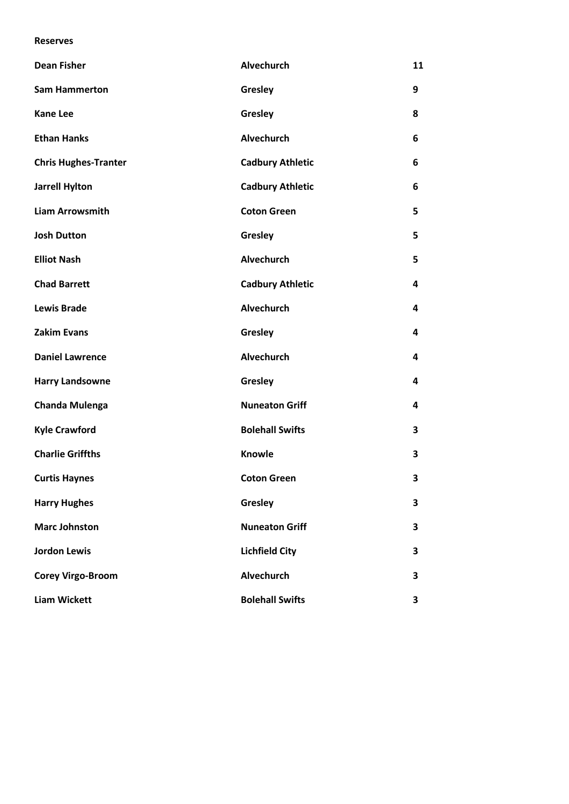# **Reserves**

| <b>Dean Fisher</b>          | <b>Alvechurch</b>       | 11 |
|-----------------------------|-------------------------|----|
| <b>Sam Hammerton</b>        | Gresley                 | 9  |
| <b>Kane Lee</b>             | Gresley                 | 8  |
| <b>Ethan Hanks</b>          | Alvechurch              | 6  |
| <b>Chris Hughes-Tranter</b> | <b>Cadbury Athletic</b> | 6  |
| <b>Jarrell Hylton</b>       | <b>Cadbury Athletic</b> | 6  |
| <b>Liam Arrowsmith</b>      | <b>Coton Green</b>      | 5  |
| <b>Josh Dutton</b>          | Gresley                 | 5  |
| <b>Elliot Nash</b>          | Alvechurch              | 5  |
| <b>Chad Barrett</b>         | <b>Cadbury Athletic</b> | 4  |
| <b>Lewis Brade</b>          | <b>Alvechurch</b>       | 4  |
| <b>Zakim Evans</b>          | Gresley                 | 4  |
| <b>Daniel Lawrence</b>      | Alvechurch              | 4  |
| <b>Harry Landsowne</b>      | Gresley                 | 4  |
| <b>Chanda Mulenga</b>       | <b>Nuneaton Griff</b>   | 4  |
| <b>Kyle Crawford</b>        | <b>Bolehall Swifts</b>  | 3  |
| <b>Charlie Griffths</b>     | Knowle                  | 3  |
| <b>Curtis Haynes</b>        | <b>Coton Green</b>      | 3  |
| <b>Harry Hughes</b>         | Gresley                 | 3  |
| <b>Marc Johnston</b>        | <b>Nuneaton Griff</b>   | 3  |
| <b>Jordon Lewis</b>         | <b>Lichfield City</b>   | 3  |
| <b>Corey Virgo-Broom</b>    | Alvechurch              | 3  |
| <b>Liam Wickett</b>         | <b>Bolehall Swifts</b>  | 3  |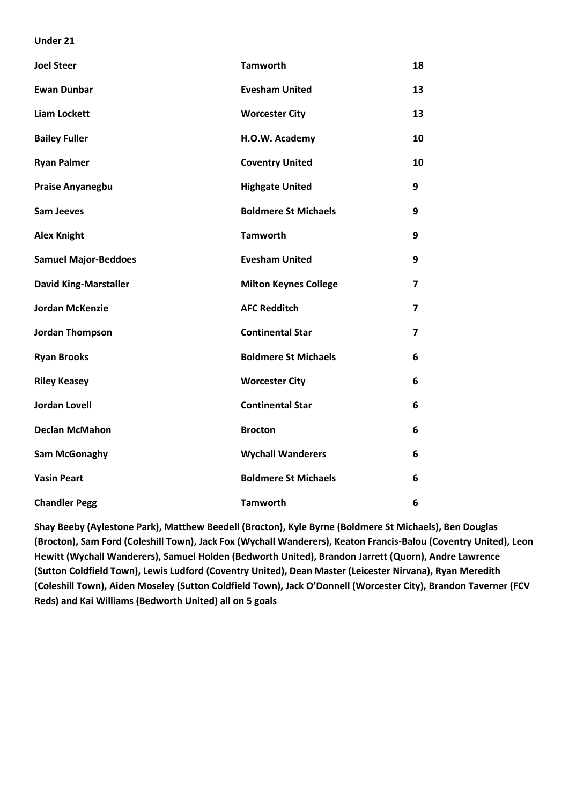### **Under 21**

| <b>Joel Steer</b>            | <b>Tamworth</b>              | 18                      |
|------------------------------|------------------------------|-------------------------|
| <b>Ewan Dunbar</b>           | <b>Evesham United</b>        | 13                      |
| <b>Liam Lockett</b>          | <b>Worcester City</b>        | 13                      |
| <b>Bailey Fuller</b>         | H.O.W. Academy               | 10                      |
| <b>Ryan Palmer</b>           | <b>Coventry United</b>       | 10                      |
| <b>Praise Anyanegbu</b>      | <b>Highgate United</b>       | 9                       |
| <b>Sam Jeeves</b>            | <b>Boldmere St Michaels</b>  | 9                       |
| <b>Alex Knight</b>           | <b>Tamworth</b>              | 9                       |
| <b>Samuel Major-Beddoes</b>  | <b>Evesham United</b>        | 9                       |
| <b>David King-Marstaller</b> | <b>Milton Keynes College</b> | $\overline{\mathbf{z}}$ |
| <b>Jordan McKenzie</b>       | <b>AFC Redditch</b>          | $\overline{\mathbf{z}}$ |
| <b>Jordan Thompson</b>       | <b>Continental Star</b>      | 7                       |
| <b>Ryan Brooks</b>           | <b>Boldmere St Michaels</b>  | 6                       |
| <b>Riley Keasey</b>          | <b>Worcester City</b>        | 6                       |
| <b>Jordan Lovell</b>         | <b>Continental Star</b>      | 6                       |
| <b>Declan McMahon</b>        | <b>Brocton</b>               | 6                       |
| <b>Sam McGonaghy</b>         | <b>Wychall Wanderers</b>     | 6                       |
| <b>Yasin Peart</b>           | <b>Boldmere St Michaels</b>  | 6                       |
| <b>Chandler Pegg</b>         | <b>Tamworth</b>              | 6                       |

**Shay Beeby (Aylestone Park), Matthew Beedell (Brocton), Kyle Byrne (Boldmere St Michaels), Ben Douglas (Brocton), Sam Ford (Coleshill Town), Jack Fox (Wychall Wanderers), Keaton Francis-Balou (Coventry United), Leon Hewitt (Wychall Wanderers), Samuel Holden (Bedworth United), Brandon Jarrett (Quorn), Andre Lawrence (Sutton Coldfield Town), Lewis Ludford (Coventry United), Dean Master (Leicester Nirvana), Ryan Meredith (Coleshill Town), Aiden Moseley (Sutton Coldfield Town), Jack O'Donnell (Worcester City), Brandon Taverner (FCV Reds) and Kai Williams (Bedworth United) all on 5 goals**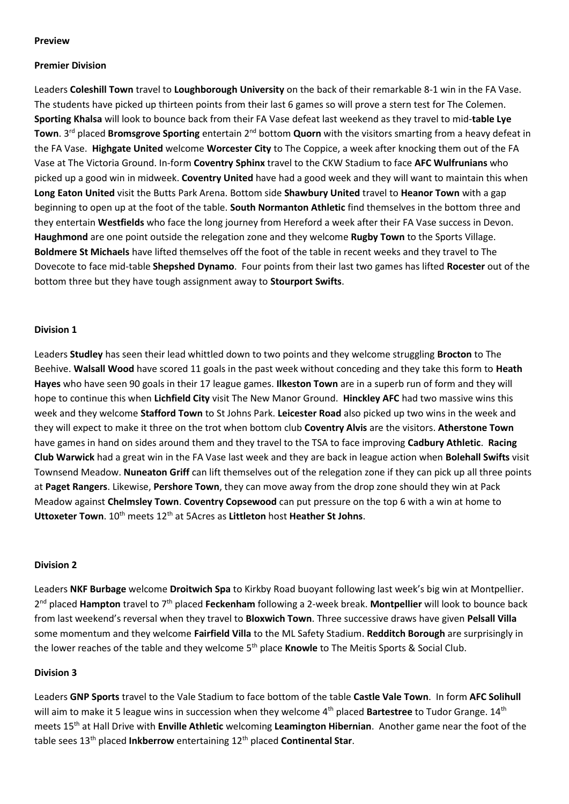# **Preview**

# **Premier Division**

Leaders **Coleshill Town** travel to **Loughborough University** on the back of their remarkable 8-1 win in the FA Vase. The students have picked up thirteen points from their last 6 games so will prove a stern test for The Colemen. **Sporting Khalsa** will look to bounce back from their FA Vase defeat last weekend as they travel to mid-**table Lye Town**. 3rd placed **Bromsgrove Sporting** entertain 2nd bottom **Quorn** with the visitors smarting from a heavy defeat in the FA Vase. **Highgate United** welcome **Worcester City** to The Coppice, a week after knocking them out of the FA Vase at The Victoria Ground. In-form **Coventry Sphinx** travel to the CKW Stadium to face **AFC Wulfrunians** who picked up a good win in midweek. **Coventry United** have had a good week and they will want to maintain this when **Long Eaton United** visit the Butts Park Arena. Bottom side **Shawbury United** travel to **Heanor Town** with a gap beginning to open up at the foot of the table. **South Normanton Athletic** find themselves in the bottom three and they entertain **Westfields** who face the long journey from Hereford a week after their FA Vase success in Devon. **Haughmond** are one point outside the relegation zone and they welcome **Rugby Town** to the Sports Village. **Boldmere St Michaels** have lifted themselves off the foot of the table in recent weeks and they travel to The Dovecote to face mid-table **Shepshed Dynamo**. Four points from their last two games has lifted **Rocester** out of the bottom three but they have tough assignment away to **Stourport Swifts**.

# **Division 1**

Leaders **Studley** has seen their lead whittled down to two points and they welcome struggling **Brocton** to The Beehive. **Walsall Wood** have scored 11 goals in the past week without conceding and they take this form to **Heath Hayes** who have seen 90 goals in their 17 league games. **Ilkeston Town** are in a superb run of form and they will hope to continue this when **Lichfield City** visit The New Manor Ground. **Hinckley AFC** had two massive wins this week and they welcome **Stafford Town** to St Johns Park. **Leicester Road** also picked up two wins in the week and they will expect to make it three on the trot when bottom club **Coventry Alvis** are the visitors. **Atherstone Town** have games in hand on sides around them and they travel to the TSA to face improving **Cadbury Athletic**. **Racing Club Warwick** had a great win in the FA Vase last week and they are back in league action when **Bolehall Swifts** visit Townsend Meadow. **Nuneaton Griff** can lift themselves out of the relegation zone if they can pick up all three points at **Paget Rangers**. Likewise, **Pershore Town**, they can move away from the drop zone should they win at Pack Meadow against **Chelmsley Town**. **Coventry Copsewood** can put pressure on the top 6 with a win at home to **Uttoxeter Town**.  $10^{th}$  meets  $12^{th}$  at 5Acres as **Littleton** host **Heather St Johns**.

# **Division 2**

Leaders **NKF Burbage** welcome **Droitwich Spa** to Kirkby Road buoyant following last week's big win at Montpellier. 2<sup>nd</sup> placed **Hampton** travel to 7<sup>th</sup> placed **Feckenham** following a 2-week break. Montpellier will look to bounce back from last weekend's reversal when they travel to **Bloxwich Town**. Three successive draws have given **Pelsall Villa** some momentum and they welcome **Fairfield Villa** to the ML Safety Stadium. **Redditch Borough** are surprisingly in the lower reaches of the table and they welcome 5<sup>th</sup> place **Knowle** to The Meitis Sports & Social Club.

# **Division 3**

Leaders **GNP Sports** travel to the Vale Stadium to face bottom of the table **Castle Vale Town**. In form **AFC Solihull** will aim to make it 5 league wins in succession when they welcome 4<sup>th</sup> placed **Bartestree** to Tudor Grange. 14<sup>th</sup> meets 15th at Hall Drive with **Enville Athletic** welcoming **Leamington Hibernian**. Another game near the foot of the table sees 13<sup>th</sup> placed **Inkberrow** entertaining 12<sup>th</sup> placed **Continental Star**.